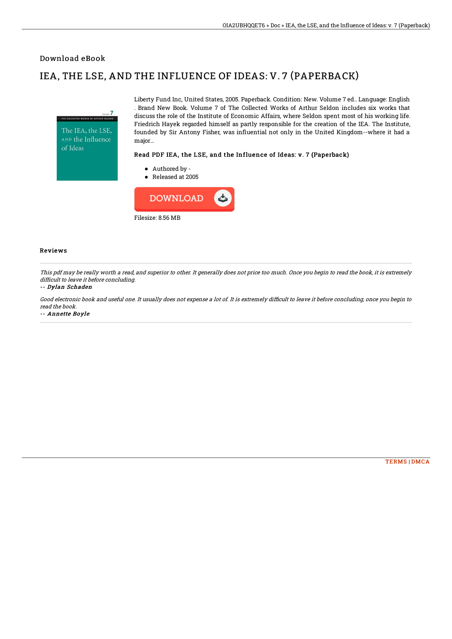### Download eBook

# IEA, THE LSE, AND THE INFLUENCE OF IDEAS: V. 7 (PAPERBACK)



Liberty Fund Inc, United States, 2005. Paperback. Condition: New. Volume 7 ed.. Language: English . Brand New Book. Volume 7 of The Collected Works of Arthur Seldon includes six works that discuss the role of the Institute of Economic Affairs, where Seldon spent most of his working life. Friedrich Hayek regarded himself as partly responsible for the creation of the IEA. The Institute, founded by Sir Antony Fisher, was influential not only in the United Kingdom--where it had a major...

#### Read PDF IEA, the LSE, and the Influence of Ideas: v. 7 (Paperback)

- Authored by -
- Released at 2005



#### Reviews

This pdf may be really worth <sup>a</sup> read, and superior to other. It generally does not price too much. Once you begin to read the book, it is extremely difficult to leave it before concluding.

#### -- Dylan Schaden

Good electronic book and useful one. It usually does not expense a lot of. It is extremely difficult to leave it before concluding, once you begin to read the book.

-- Annette Boyle